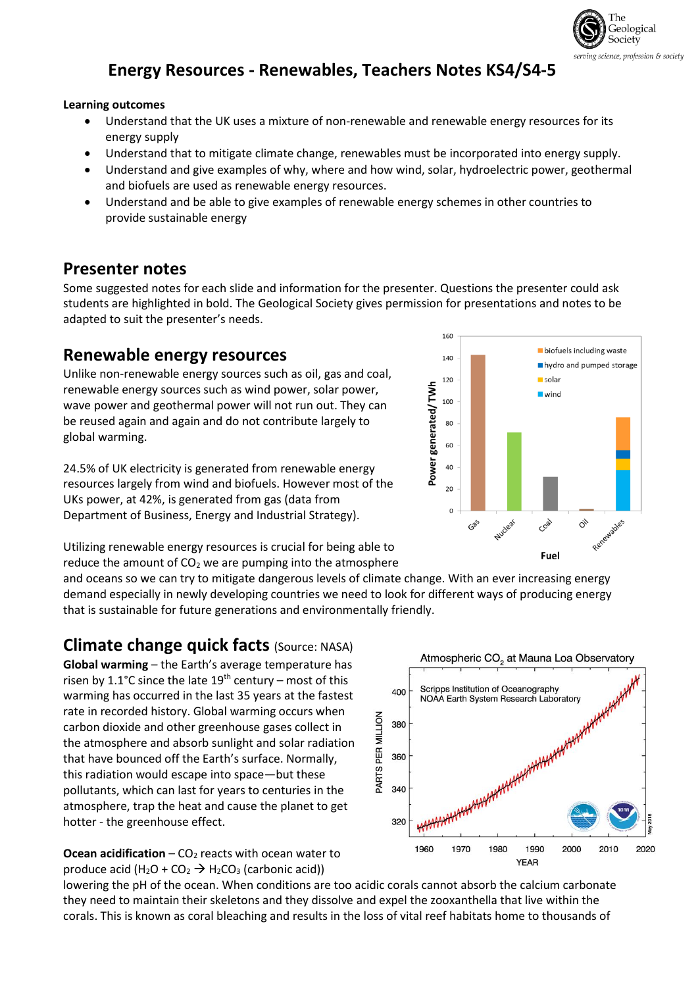

## **Energy Resources - Renewables, Teachers Notes KS4/S4-5**

#### **Learning outcomes**

- Understand that the UK uses a mixture of non-renewable and renewable energy resources for its energy supply
- Understand that to mitigate climate change, renewables must be incorporated into energy supply.
- Understand and give examples of why, where and how wind, solar, hydroelectric power, geothermal and biofuels are used as renewable energy resources.
- Understand and be able to give examples of renewable energy schemes in other countries to provide sustainable energy

#### **Presenter notes**

Some suggested notes for each slide and information for the presenter. Questions the presenter could ask students are highlighted in bold. The Geological Society gives permission for presentations and notes to be adapted to suit the presenter's needs.

#### **Renewable energy resources**

Unlike non-renewable energy sources such as oil, gas and coal, renewable energy sources such as wind power, solar power, wave power and geothermal power will not run out. They can be reused again and again and do not contribute largely to global warming.

24.5% of UK electricity is generated from renewable energy resources largely from wind and biofuels. However most of the UKs power, at 42%, is generated from gas (data from Department of Business, Energy and Industrial Strategy).



Utilizing renewable energy resources is crucial for being able to reduce the amount of  $CO<sub>2</sub>$  we are pumping into the atmosphere

and oceans so we can try to mitigate dangerous levels of climate change. With an ever increasing energy demand especially in newly developing countries we need to look for different ways of producing energy that is sustainable for future generations and environmentally friendly.

#### **Climate change quick facts** (Source: NASA)

**Global warming** – the Earth's average temperature has risen by 1.1°C since the late  $19<sup>th</sup>$  century – most of this warming has occurred in the last 35 years at the fastest rate in recorded history. Global warming occurs when carbon dioxide and other greenhouse gases collect in the atmosphere and absorb sunlight and solar radiation that have bounced off the Earth's surface. Normally, this radiation would escape into space—but these pollutants, which can last for years to centuries in the atmosphere, trap the heat and cause the planet to get hotter - the greenhouse effect.

**Ocean acidification**  $-$  **CO<sub>2</sub> reacts with ocean water to** produce acid  $(H_2O + CO_2 \rightarrow H_2CO_3$  (carbonic acid))



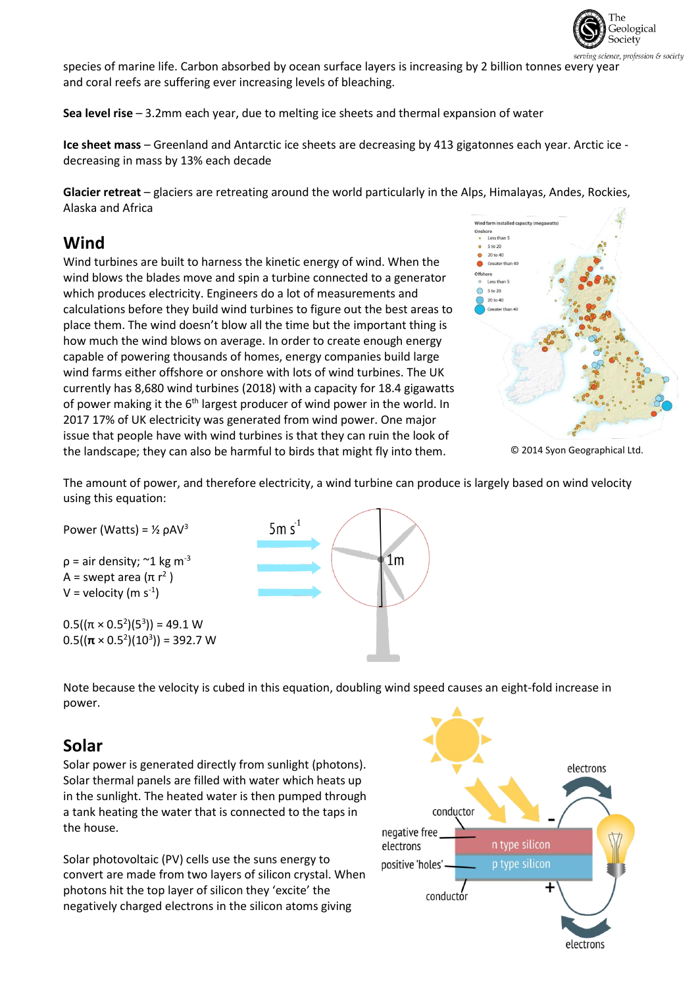

species of marine life. Carbon absorbed by ocean surface layers is increasing by 2 billion tonnes every year and coral reefs are suffering ever increasing levels of bleaching.

**Sea level rise** – 3.2mm each year, due to melting ice sheets and thermal expansion of water

**Ice sheet mass** – Greenland and Antarctic ice sheets are decreasing by 413 gigatonnes each year. Arctic ice decreasing in mass by 13% each decade

**Glacier retreat** – glaciers are retreating around the world particularly in the Alps, Himalayas, Andes, Rockies, Alaska and Africa

### **Wind**

Wind turbines are built to harness the kinetic energy of wind. When the wind blows the blades move and spin a turbine connected to a generator which produces electricity. Engineers do a lot of measurements and calculations before they build wind turbines to figure out the best areas to place them. The wind doesn't blow all the time but the important thing is how much the wind blows on average. In order to create enough energy capable of powering thousands of homes, energy companies build large wind farms either offshore or onshore with lots of wind turbines. The UK currently has 8,680 wind turbines (2018) with a capacity for 18.4 gigawatts of power making it the 6<sup>th</sup> largest producer of wind power in the world. In 2017 17% of UK electricity was generated from wind power. One major issue that people have with wind turbines is that they can ruin the look of the landscape; they can also be harmful to birds that might fly into them.



<sup>©</sup> 2014 Syon Geographical Ltd.

The amount of power, and therefore electricity, a wind turbine can produce is largely based on wind velocity using this equation:

Power (Watts) =  $\frac{1}{2}$   $\rho$ AV<sup>3</sup>  $p =$  air density;  $\approx$  1 kg m<sup>-3</sup> A = swept area (π r<sup>2</sup>)  $V =$  velocity (m s<sup>-1</sup>)

0.5( $(\pi \times 0.5^2)(5^3)$ ) = 49.1 W  $0.5((\pi \times 0.5^2)(10^3)) = 392.7$  W



Note because the velocity is cubed in this equation, doubling wind speed causes an eight-fold increase in power.

### **Solar**

Solar power is generated directly from sunlight (photons). Solar thermal panels are filled with water which heats up in the sunlight. The heated water is then pumped through a tank heating the water that is connected to the taps in the house.

Solar photovoltaic (PV) cells use the suns energy to convert are made from two layers of silicon crystal. When photons hit the top layer of silicon they 'excite' the negatively charged electrons in the silicon atoms giving

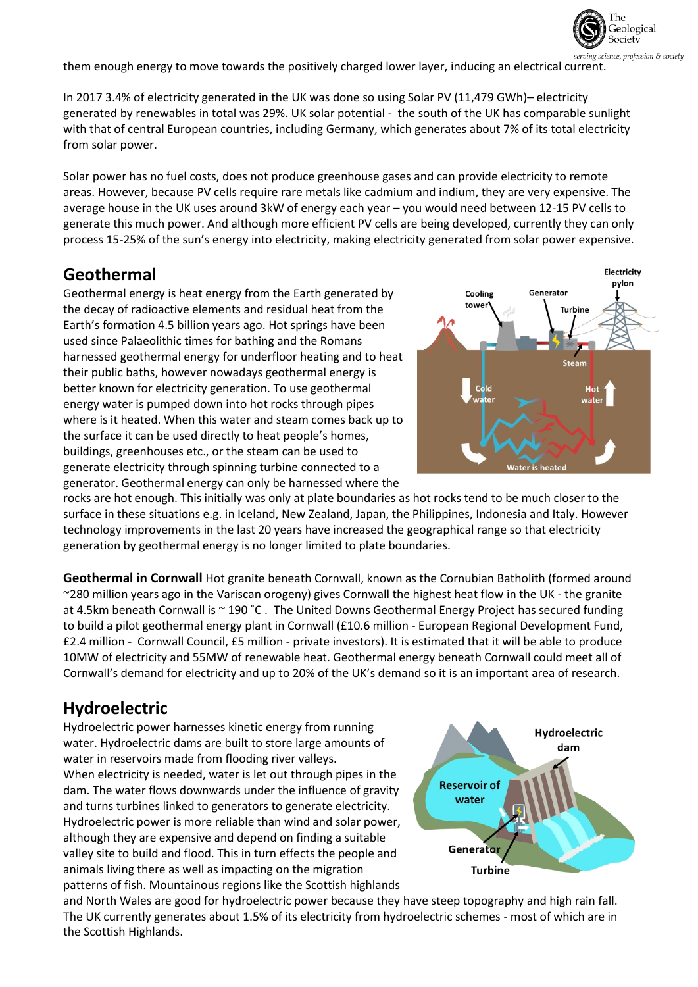

them enough energy to move towards the positively charged lower layer, inducing an electrical current.

In 2017 3.4% of electricity generated in the UK was done so using Solar PV (11,479 GWh)– electricity generated by renewables in total was 29%. UK solar potential - the south of the UK has comparable sunlight with that of central European countries, including Germany, which generates about 7% of its total electricity from solar power.

Solar power has no fuel costs, does not produce greenhouse gases and can provide electricity to remote areas. However, because PV cells require rare metals like cadmium and indium, they are very expensive. The average house in the UK uses around 3kW of energy each year – you would need between 12-15 PV cells to generate this much power. And although more efficient PV cells are being developed, currently they can only process 15-25% of the sun's energy into electricity, making electricity generated from solar power expensive.

### **Geothermal**

Geothermal energy is heat energy from the Earth generated by the decay of radioactive elements and residual heat from the Earth's formation 4.5 billion years ago. Hot springs have been used since Palaeolithic times for bathing and the Romans harnessed geothermal energy for underfloor heating and to heat their public baths, however nowadays geothermal energy is better known for electricity generation. To use geothermal energy water is pumped down into hot rocks through pipes where is it heated. When this water and steam comes back up to the surface it can be used directly to heat people's homes, buildings, greenhouses etc., or the steam can be used to generate electricity through spinning turbine connected to a generator. Geothermal energy can only be harnessed where the



rocks are hot enough. This initially was only at plate boundaries as hot rocks tend to be much closer to the surface in these situations e.g. in Iceland, New Zealand, Japan, the Philippines, Indonesia and Italy. However technology improvements in the last 20 years have increased the geographical range so that electricity generation by geothermal energy is no longer limited to plate boundaries.

**Geothermal in Cornwall** Hot granite beneath Cornwall, known as the Cornubian Batholith (formed around ~280 million years ago in the Variscan orogeny) gives Cornwall the highest heat flow in the UK - the granite at 4.5km beneath Cornwall is ~ 190 °C. The United Downs Geothermal Energy Project has secured funding to build a pilot geothermal energy plant in Cornwall (£10.6 million - European Regional Development Fund, £2.4 million - Cornwall Council, £5 million - private investors). It is estimated that it will be able to produce 10MW of electricity and 55MW of renewable heat. Geothermal energy beneath Cornwall could meet all of Cornwall's demand for electricity and up to 20% of the UK's demand so it is an important area of research.

### **Hydroelectric**

Hydroelectric power harnesses kinetic energy from running water. Hydroelectric dams are built to store large amounts of water in reservoirs made from flooding river valleys. When electricity is needed, water is let out through pipes in the dam. The water flows downwards under the influence of gravity and turns turbines linked to generators to generate electricity. Hydroelectric power is more reliable than wind and solar power, although they are expensive and depend on finding a suitable valley site to build and flood. This in turn effects the people and animals living there as well as impacting on the migration patterns of fish. Mountainous regions like the Scottish highlands



and North Wales are good for hydroelectric power because they have steep topography and high rain fall. The UK currently generates about 1.5% of its electricity from hydroelectric schemes - most of which are in the Scottish Highlands.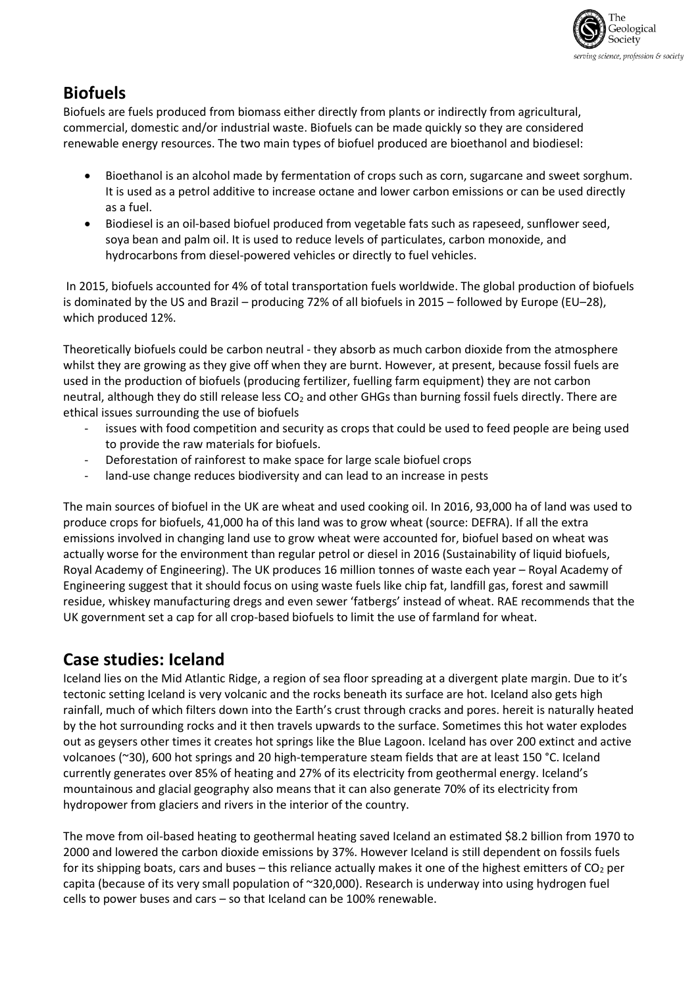

## **Biofuels**

Biofuels are fuels produced from biomass either directly from plants or indirectly from agricultural, commercial, domestic and/or industrial waste. Biofuels can be made quickly so they are considered renewable energy resources. The two main types of biofuel produced are bioethanol and biodiesel:

- Bioethanol is an alcohol made by fermentation of crops such as corn, sugarcane and sweet sorghum. It is used as a petrol additive to increase octane and lower carbon emissions or can be used directly as a fuel.
- Biodiesel is an oil-based biofuel produced from vegetable fats such as rapeseed, sunflower seed, soya bean and palm oil. It is used to reduce levels of particulates, carbon monoxide, and hydrocarbons from diesel-powered vehicles or directly to fuel vehicles.

In 2015, biofuels accounted for 4% of total transportation fuels worldwide. The global production of biofuels is dominated by the US and Brazil – producing 72% of all biofuels in 2015 – followed by Europe (EU–28), which produced 12%.

Theoretically biofuels could be carbon neutral - they absorb as much carbon dioxide from the atmosphere whilst they are growing as they give off when they are burnt. However, at present, because fossil fuels are used in the production of biofuels (producing fertilizer, fuelling farm equipment) they are not carbon neutral, although they do still release less  $CO<sub>2</sub>$  and other GHGs than burning fossil fuels directly. There are ethical issues surrounding the use of biofuels

- issues with food competition and security as crops that could be used to feed people are being used to provide the raw materials for biofuels.
- Deforestation of rainforest to make space for large scale biofuel crops
- land-use change reduces biodiversity and can lead to an increase in pests

The main sources of biofuel in the UK are wheat and used cooking oil. In 2016, 93,000 ha of land was used to produce crops for biofuels, 41,000 ha of this land was to grow wheat (source: DEFRA). If all the extra emissions involved in changing land use to grow wheat were accounted for, biofuel based on wheat was actually worse for the environment than regular petrol or diesel in 2016 (Sustainability of liquid biofuels, Royal Academy of Engineering). The UK produces 16 million tonnes of waste each year – Royal Academy of Engineering suggest that it should focus on using waste fuels like chip fat, landfill gas, forest and sawmill residue, whiskey manufacturing dregs and even sewer 'fatbergs' instead of wheat. RAE recommends that the UK government set a cap for all crop-based biofuels to limit the use of farmland for wheat.

## **Case studies: Iceland**

Iceland lies on the Mid Atlantic Ridge, a region of sea floor spreading at a divergent plate margin. Due to it's tectonic setting Iceland is very volcanic and the rocks beneath its surface are hot. Iceland also gets high rainfall, much of which filters down into the Earth's crust through cracks and pores. hereit is naturally heated by the hot surrounding rocks and it then travels upwards to the surface. Sometimes this hot water explodes out as geysers other times it creates hot springs like the Blue Lagoon. Iceland has over 200 extinct and active volcanoes (~30), 600 hot springs and 20 high-temperature steam fields that are at least 150 °C. Iceland currently generates over 85% of heating and 27% of its electricity from geothermal energy. Iceland's mountainous and glacial geography also means that it can also generate 70% of its electricity from hydropower from glaciers and rivers in the interior of the country.

The move from oil-based heating to geothermal heating saved Iceland an estimated \$8.2 billion from 1970 to 2000 and lowered the carbon dioxide emissions by 37%. However Iceland is still dependent on fossils fuels for its shipping boats, cars and buses – this reliance actually makes it one of the highest emitters of  $CO<sub>2</sub>$  per capita (because of its very small population of ~320,000). Research is underway into using hydrogen fuel cells to power buses and cars – so that Iceland can be 100% renewable.